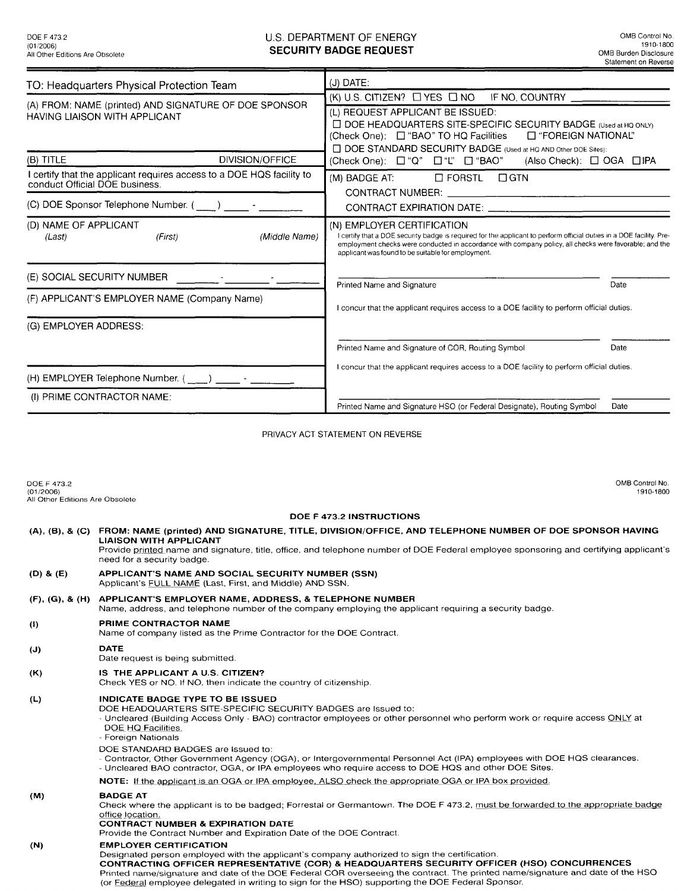## DOE F 473.2 CONB Control No. CONSIDERT AND THE SUIT OF ENERGY CONSIDERED AT A REPORT OF ENERGY CONSIDERATION CONSIDERATION CONSIDERATION CONSIDERATION CONSIDERATION CONSIDERATION CONSIDERATION CONSIDERATION CONSIDERATION C **SECURITY BADGE REQUEST**

| TO: Headquarters Physical Protection Team                                                               | (J) DATE:                                                                                                                                                                                                                                                                                                          |
|---------------------------------------------------------------------------------------------------------|--------------------------------------------------------------------------------------------------------------------------------------------------------------------------------------------------------------------------------------------------------------------------------------------------------------------|
|                                                                                                         | (K) U.S. CITIZEN? LYES LINO IF NO, COUNTRY                                                                                                                                                                                                                                                                         |
| (A) FROM: NAME (printed) AND SIGNATURE OF DOE SPONSOR<br><b>HAVING LIAISON WITH APPLICANT</b>           | (L) REQUEST APPLICANT BE ISSUED:<br>□ DOE HEADQUARTERS SITE-SPECIFIC SECURITY BADGE (Used at HQ ONLY)<br>(Check One): □ "BAO" TO HQ Facilities<br>□ "FOREIGN NATIONAL"<br>□ DOE STANDARD SECURITY BADGE (Used at HQ AND Other DOE Sites):                                                                          |
| DIVISION/OFFICE<br>(B) TITLE                                                                            | (Check One): □ "Q" □ "L" □ "BAO"<br>$(Also Check): \Box OGA \Box IPA$                                                                                                                                                                                                                                              |
| I certify that the applicant requires access to a DOE HQS facility to<br>conduct Official DOE business. | $\square$ FORSTL<br>$\Box$ GTN<br>(M) BADGE AT:<br>CONTRACT NUMBER: And the CONTRACT NUMBER:                                                                                                                                                                                                                       |
| (C) DOE Sponsor Telephone Number. ( _____ ) _______ - _____                                             | CONTRACT EXPIRATION DATE:                                                                                                                                                                                                                                                                                          |
| (D) NAME OF APPLICANT<br>(Middle Name)<br>(First)<br>(Last)                                             | (N) EMPLOYER CERTIFICATION<br>I certify that a DOE security badge is required for the applicant to perform official duties in a DOE facility. Pre-<br>employment checks were conducted in accordance with company policy, all checks were favorable; and the<br>applicant was found to be suitable for employment. |
| (E) SOCIAL SECURITY NUMBER                                                                              | Printed Name and Signature<br>Date                                                                                                                                                                                                                                                                                 |
| (F) APPLICANT'S EMPLOYER NAME (Company Name)                                                            | I concur that the applicant requires access to a DOE facility to perform official duties.                                                                                                                                                                                                                          |
| (G) EMPLOYER ADDRESS:                                                                                   |                                                                                                                                                                                                                                                                                                                    |
|                                                                                                         | Printed Name and Signature of COR, Routing Symbol<br>Date                                                                                                                                                                                                                                                          |
|                                                                                                         | I concur that the applicant requires access to a DOE facility to perform official duties.                                                                                                                                                                                                                          |
| (H) EMPLOYER Telephone Number. (____) ______-                                                           |                                                                                                                                                                                                                                                                                                                    |
| (I) PRIME CONTRACTOR NAME:                                                                              | Printed Name and Signature HSO (or Federal Designate), Routing Symbol<br>Date                                                                                                                                                                                                                                      |
|                                                                                                         |                                                                                                                                                                                                                                                                                                                    |

## PRIVACY ACT STATEMENT ON REVERSE

| DOE F 473.2<br>(01/2006)<br>All Other Editions Are Obsolete | OMB Control No.<br>1910-1800                                                                                                                                                                                                                                                                                                                                                                                                                                          |  |
|-------------------------------------------------------------|-----------------------------------------------------------------------------------------------------------------------------------------------------------------------------------------------------------------------------------------------------------------------------------------------------------------------------------------------------------------------------------------------------------------------------------------------------------------------|--|
| DOE F 473.2 INSTRUCTIONS                                    |                                                                                                                                                                                                                                                                                                                                                                                                                                                                       |  |
|                                                             | (A), (B), & (C) FROM: NAME (printed) AND SIGNATURE, TITLE, DIVISION/OFFICE, AND TELEPHONE NUMBER OF DOE SPONSOR HAVING<br><b>LIAISON WITH APPLICANT</b><br>Provide printed name and signature, title, office, and telephone number of DOE Federal employee sponsoring and certifying applicant's<br>need for a security badge.                                                                                                                                        |  |
| $(D)$ & $(E)$                                               | <b>APPLICANT'S NAME AND SOCIAL SECURITY NUMBER (SSN)</b><br>Applicant's FULL NAME (Last, First, and Middle) AND SSN.                                                                                                                                                                                                                                                                                                                                                  |  |
| (F), (G), & (H)                                             | APPLICANT'S EMPLOYER NAME, ADDRESS, & TELEPHONE NUMBER<br>Name, address, and telephone number of the company employing the applicant requiring a security badge.                                                                                                                                                                                                                                                                                                      |  |
| $\left( \mathbf{l} \right)$                                 | PRIME CONTRACTOR NAME<br>Name of company listed as the Prime Contractor for the DOE Contract.                                                                                                                                                                                                                                                                                                                                                                         |  |
| (J)                                                         | <b>DATE</b><br>Date request is being submitted.                                                                                                                                                                                                                                                                                                                                                                                                                       |  |
| (K)                                                         | IS THE APPLICANT A U.S. CITIZEN?<br>Check YES or NO. If NO, then indicate the country of citizenship.                                                                                                                                                                                                                                                                                                                                                                 |  |
| (L)                                                         | <b>INDICATE BADGE TYPE TO BE ISSUED</b><br>DOE HEADQUARTERS SITE-SPECIFIC SECURITY BADGES are Issued to:<br>- Uncleared (Building Access Only - BAO) contractor employees or other personnel who perform work or require access ONLY at<br>DOE HQ Facilities.<br>- Foreign Nationals<br>DOE STANDARD BADGES are issued to:                                                                                                                                            |  |
|                                                             | - Contractor, Other Government Agency (OGA), or Intergovernmental Personnel Act (IPA) employees with DOE HQS clearances.<br>- Uncleared BAO contractor, OGA, or IPA employees who require access to DOE HQS and other DOE Sites.                                                                                                                                                                                                                                      |  |
|                                                             | NOTE: If the applicant is an OGA or IPA employee, ALSO check the appropriate OGA or IPA box provided.                                                                                                                                                                                                                                                                                                                                                                 |  |
| (M)                                                         | <b>BADGE AT</b><br>Check where the applicant is to be badged; Forrestal or Germantown. The DOE F 473.2, must be forwarded to the appropriate badge<br>office location.<br><b>CONTRACT NUMBER &amp; EXPIRATION DATE</b><br>Provide the Contract Number and Expiration Date of the DOE Contract.                                                                                                                                                                        |  |
| (N)                                                         | <b>EMPLOYER CERTIFICATION</b><br>Designated person employed with the applicant's company authorized to sign the certification.<br>CONTRACTING OFFICER REPRESENTATIVE (COR) & HEADQUARTERS SECURITY OFFICER (HSO) CONCURRENCES<br>Printed name/signature and date of the DOE Federal COR overseeing the contract. The printed name/signature and date of the HSO<br>(or Federal employee delegated in writing to sign for the HSO) supporting the DOE Federal Sponsor. |  |